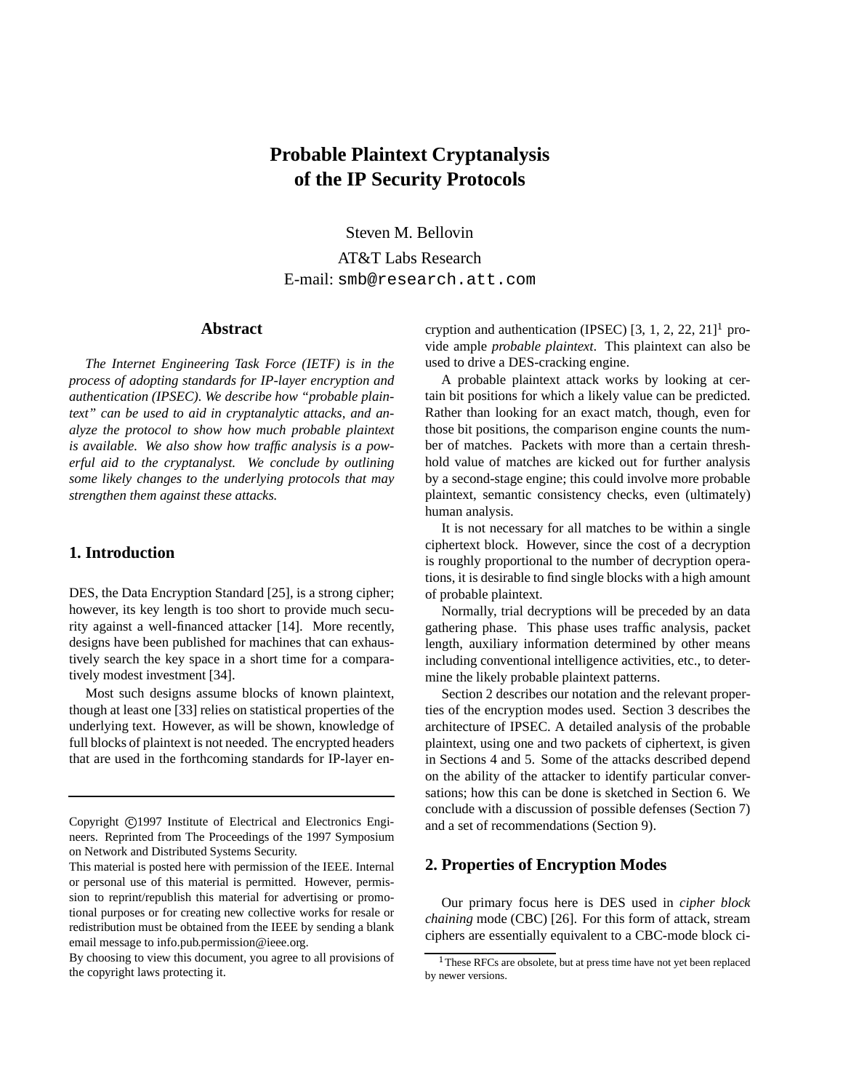# **Probable Plaintext Cryptanalysis of the IP Security Protocols**

Steven M. Bellovin

AT&T Labs Research E-mail: smb@research.att.com

## **Abstract**

*The Internet Engineering Task Force (IETF) is in the process of adopting standards for IP-layer encryption and authentication (IPSEC). We describe how "probable plaintext" can be used to aid in cryptanalytic attacks, and analyze the protocol to show how much probable plaintext is available. We also show how traffic analysis is a powerful aid to the cryptanalyst. We conclude by outlining some likely changes to the underlying protocols that may strengthen them against these attacks.*

# **1. Introduction**

DES, the Data Encryption Standard [25], is a strong cipher; however, its key length is too short to provide much security against a well-financed attacker [14]. More recently, designs have been published for machines that can exhaustively search the key space in a short time for a comparatively modest investment [34].

Most such designs assume blocks of known plaintext, though at least one [33] relies on statistical properties of the underlying text. However, as will be shown, knowledge of full blocks of plaintext is not needed. The encrypted headers that are used in the forthcoming standards for IP-layer encryption and authentication (IPSEC)  $[3, 1, 2, 22, 21]$ <sup>1</sup> provide ample *probable plaintext*. This plaintext can also be used to drive a DES-cracking engine.

A probable plaintext attack works by looking at certain bit positions for which a likely value can be predicted. Rather than looking for an exact match, though, even for those bit positions, the comparison engine counts the number of matches. Packets with more than a certain threshhold value of matches are kicked out for further analysis by a second-stage engine; this could involve more probable plaintext, semantic consistency checks, even (ultimately) human analysis.

It is not necessary for all matches to be within a single ciphertext block. However, since the cost of a decryption is roughly proportional to the number of decryption operations, it is desirable to find single blocks with a high amount of probable plaintext.

Normally, trial decryptions will be preceded by an data gathering phase. This phase uses traffic analysis, packet length, auxiliary information determined by other means including conventional intelligence activities, etc., to determine the likely probable plaintext patterns.

Section 2 describes our notation and the relevant properties of the encryption modes used. Section 3 describes the architecture of IPSEC. A detailed analysis of the probable plaintext, using one and two packets of ciphertext, is given in Sections 4 and 5. Some of the attacks described depend on the ability of the attacker to identify particular conversations; how this can be done is sketched in Section 6. We conclude with a discussion of possible defenses (Section 7) and a set of recommendations (Section 9).

#### **2. Properties of Encryption Modes**

Our primary focus here is DES used in *cipher block chaining* mode (CBC) [26]. For this form of attack, stream ciphers are essentially equivalent to a CBC-mode block ci-

Copyright ©1997 Institute of Electrical and Electronics Engineers. Reprinted from The Proceedings of the 1997 Symposium on Network and Distributed Systems Security.

This material is posted here with permission of the IEEE. Internal or personal use of this material is permitted. However, permission to reprint/republish this material for advertising or promotional purposes or for creating new collective works for resale or redistribution must be obtained from the IEEE by sending a blank email message to info.pub.permission@ieee.org.

By choosing to view this document, you agree to all provisions of the copyright laws protecting it.

<sup>&</sup>lt;sup>1</sup>These RFCs are obsolete, but at press time have not yet been replaced by newer versions.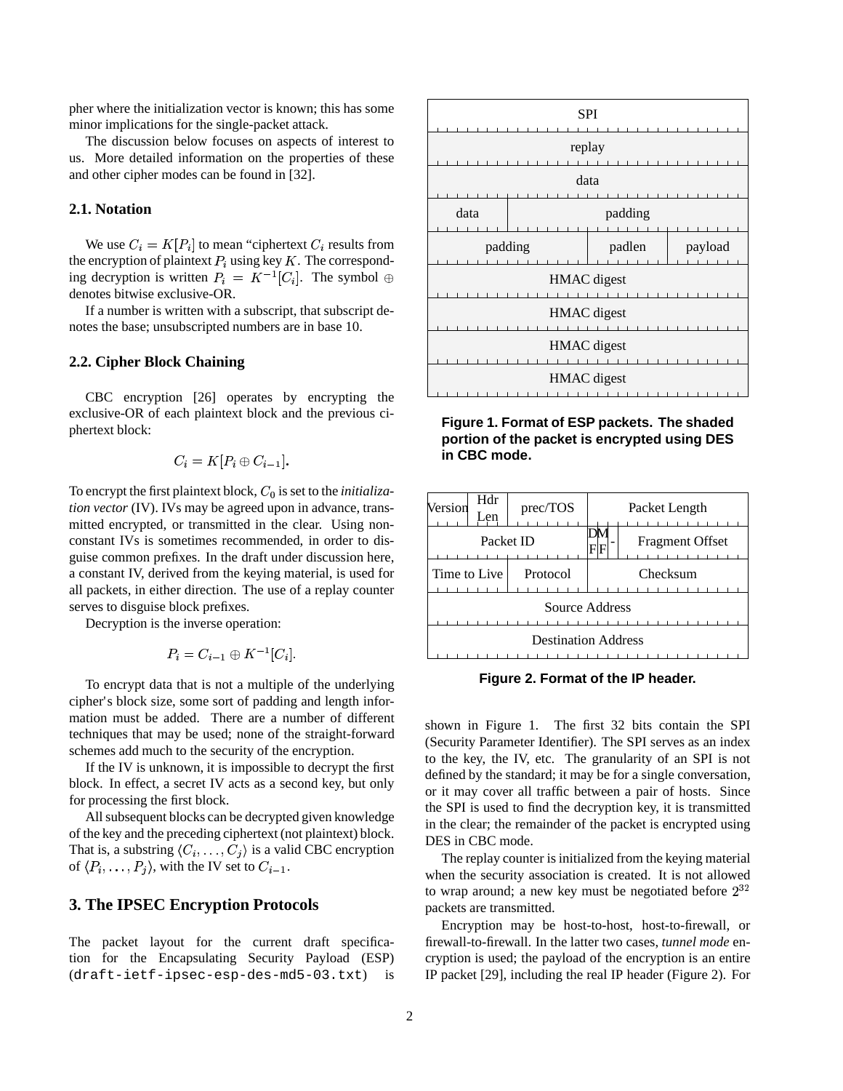pher where the initialization vector is known; this has some minor implications for the single-packet attack.

The discussion below focuses on aspects of interest to us. More detailed information on the properties of these and other cipher modes can be found in [32].

# **2.1. Notation**

We use  $C_i = K[P_i]$  to mean "ciphertext  $C_i$  results from the encryption of plaintext  $P_i$  using key K. The corresponding decryption is written  $P_i = K^{-1}[C_i]$ . The symbol  $\oplus$ denotes bitwise exclusive-OR.

If a number is written with a subscript, that subscript denotes the base; unsubscripted numbers are in base 10.

## **2.2. Cipher Block Chaining**

CBC encryption [26] operates by encrypting the exclusive-OR of each plaintext block and the previous ciphertext block:

$$
C_i=K[P_i\oplus C_{i-1}].
$$

To encrypt the first plaintext block,  $C_0$  is set to the *initialization vector* (IV). IVs may be agreed upon in advance, transmitted encrypted, or transmitted in the clear. Using nonconstant IVs is sometimes recommended, in order to disguise common prefixes. In the draft under discussion here, a constant IV, derived from the keying material, is used for all packets, in either direction. The use of a replay counter serves to disguise block prefixes.

Decryption is the inverse operation:

$$
P_i = C_{i-1} \oplus K^{-1}[C_i].
$$

To encrypt data that is not a multiple of the underlying cipher's block size, some sort of padding and length information must be added. There are a number of different techniques that may be used; none of the straight-forward schemes add much to the security of the encryption.

If the IV is unknown, it is impossible to decrypt the first block. In effect, a secret IV acts as a second key, but only for processing the first block.

All subsequent blocks can be decrypted given knowledge of the key and the preceding ciphertext (not plaintext) block. That is, a substring  $\langle C_i, \ldots, C_j \rangle$  is a valid CBC encryption of  $\langle P_i, \ldots, P_j \rangle$ , with the IV set to  $C_{i-1}$ .

## **3. The IPSEC Encryption Protocols**

The packet layout for the current draft specification for the Encapsulating Security Payload (ESP) (draft-ietf-ipsec-esp-des-md5-03.txt) is



**Figure 1. Format of ESP packets. The shaded portion of the packet is encrypted using DES in CBC mode.**



**Figure 2. Format of the IP header.**

shown in Figure 1. The first 32 bits contain the SPI (Security Parameter Identifier). The SPI serves as an index to the key, the IV, etc. The granularity of an SPI is not defined by the standard; it may be for a single conversation, or it may cover all traffic between a pair of hosts. Since the SPI is used to find the decryption key, it is transmitted in the clear; the remainder of the packet is encrypted using DES in CBC mode.

The replay counter is initialized from the keying material when the security association is created. It is not allowed to wrap around; a new key must be negotiated before  $2^{32}$ packets are transmitted.

Encryption may be host-to-host, host-to-firewall, or firewall-to-firewall. In the latter two cases, *tunnel mode* encryption is used; the payload of the encryption is an entire IP packet [29], including the real IP header (Figure 2). For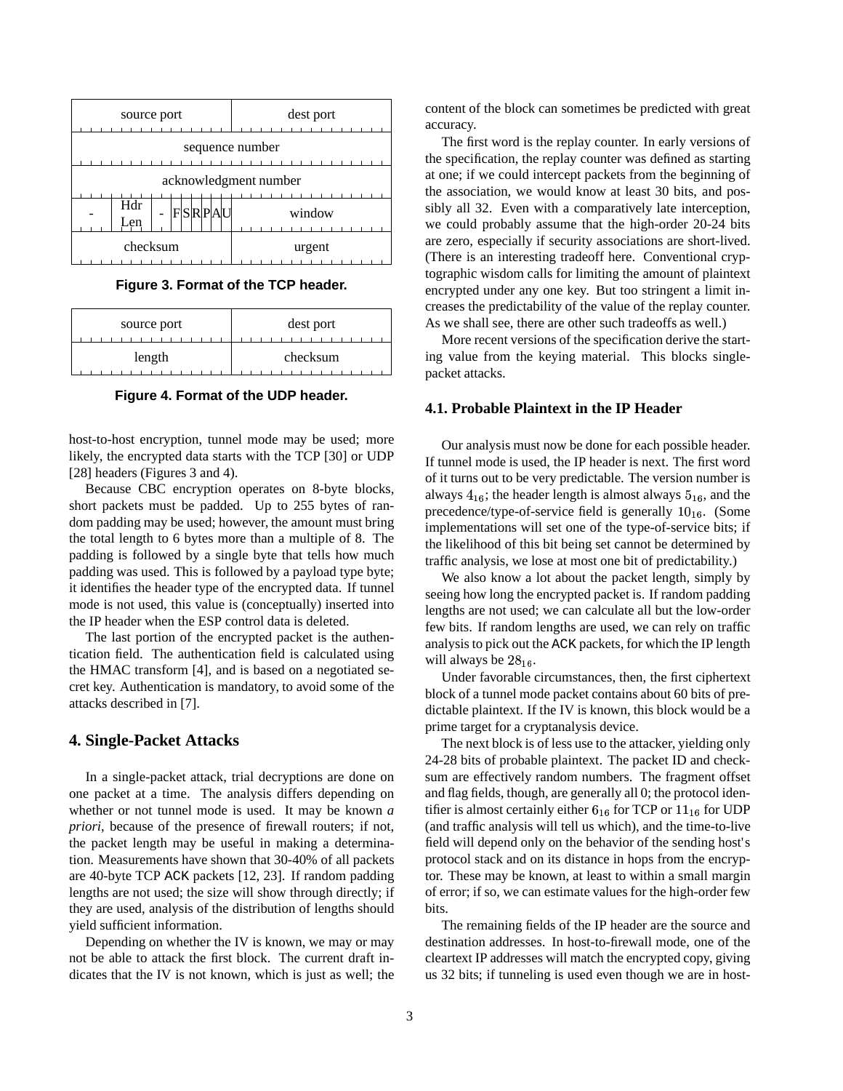| source port           | dest port |  |  |  |
|-----------------------|-----------|--|--|--|
| sequence number       |           |  |  |  |
| acknowledgment number |           |  |  |  |
| Hdr<br>FSRPAU<br>Len  | window    |  |  |  |
| checksum              | urgent    |  |  |  |

**Figure 3. Format of the TCP header.**

| source port | dest port |  |
|-------------|-----------|--|
| length      | checksum  |  |

**Figure 4. Format of the UDP header.**

host-to-host encryption, tunnel mode may be used; more likely, the encrypted data starts with the TCP [30] or UDP [28] headers (Figures 3 and 4).

Because CBC encryption operates on 8-byte blocks, short packets must be padded. Up to 255 bytes of random padding may be used; however, the amount must bring the total length to 6 bytes more than a multiple of 8. The padding is followed by a single byte that tells how much padding was used. This is followed by a payload type byte; it identifies the header type of the encrypted data. If tunnel mode is not used, this value is (conceptually) inserted into the IP header when the ESP control data is deleted.

The last portion of the encrypted packet is the authentication field. The authentication field is calculated using the HMAC transform [4], and is based on a negotiated secret key. Authentication is mandatory, to avoid some of the attacks described in [7].

#### **4. Single-Packet Attacks**

In a single-packet attack, trial decryptions are done on one packet at a time. The analysis differs depending on whether or not tunnel mode is used. It may be known *a priori*, because of the presence of firewall routers; if not, the packet length may be useful in making a determination. Measurements have shown that 30-40% of all packets are 40-byte TCP ACK packets [12, 23]. If random padding lengths are not used; the size will show through directly; if they are used, analysis of the distribution of lengths should yield sufficient information.

Depending on whether the IV is known, we may or may not be able to attack the first block. The current draft indicates that the IV is not known, which is just as well; the content of the block can sometimes be predicted with great accuracy.

The first word is the replay counter. In early versions of the specification, the replay counter was defined as starting at one; if we could intercept packets from the beginning of the association, we would know at least 30 bits, and possibly all 32. Even with a comparatively late interception, we could probably assume that the high-order 20-24 bits are zero, especially if security associations are short-lived. (There is an interesting tradeoff here. Conventional cryptographic wisdom calls for limiting the amount of plaintext encrypted under any one key. But too stringent a limit increases the predictability of the value of the replay counter. As we shall see, there are other such tradeoffs as well.)

More recent versions of the specification derive the starting value from the keying material. This blocks singlepacket attacks.

### **4.1. Probable Plaintext in the IP Header**

Our analysis must now be done for each possible header. If tunnel mode is used, the IP header is next. The first word of it turns out to be very predictable. The version number is always  $4_{16}$ ; the header length is almost always  $5_{16}$ , and the precedence/type-of-service field is generally  $10_{16}$ . (Some implementations will set one of the type-of-service bits; if the likelihood of this bit being set cannot be determined by traffic analysis, we lose at most one bit of predictability.)

We also know a lot about the packet length, simply by seeing how long the encrypted packet is. If random padding lengths are not used; we can calculate all but the low-order few bits. If random lengths are used, we can rely on traffic analysis to pick out the ACK packets, for which the IP length will always be  $28_{16}$ .

Under favorable circumstances, then, the first ciphertext block of a tunnel mode packet contains about 60 bits of predictable plaintext. If the IV is known, this block would be a prime target for a cryptanalysis device.

The next block is of less use to the attacker, yielding only 24-28 bits of probable plaintext. The packet ID and checksum are effectively random numbers. The fragment offset and flag fields, though, are generally all 0; the protocol identifier is almost certainly either  $6_{16}$  for TCP or  $11_{16}$  for UDP (and traffic analysis will tell us which), and the time-to-live field will depend only on the behavior of the sending host's protocol stack and on its distance in hops from the encryptor. These may be known, at least to within a small margin of error; if so, we can estimate values for the high-order few bits.

The remaining fields of the IP header are the source and destination addresses. In host-to-firewall mode, one of the cleartext IPaddresses will match the encrypted copy, giving us 32 bits; if tunneling is used even though we are in host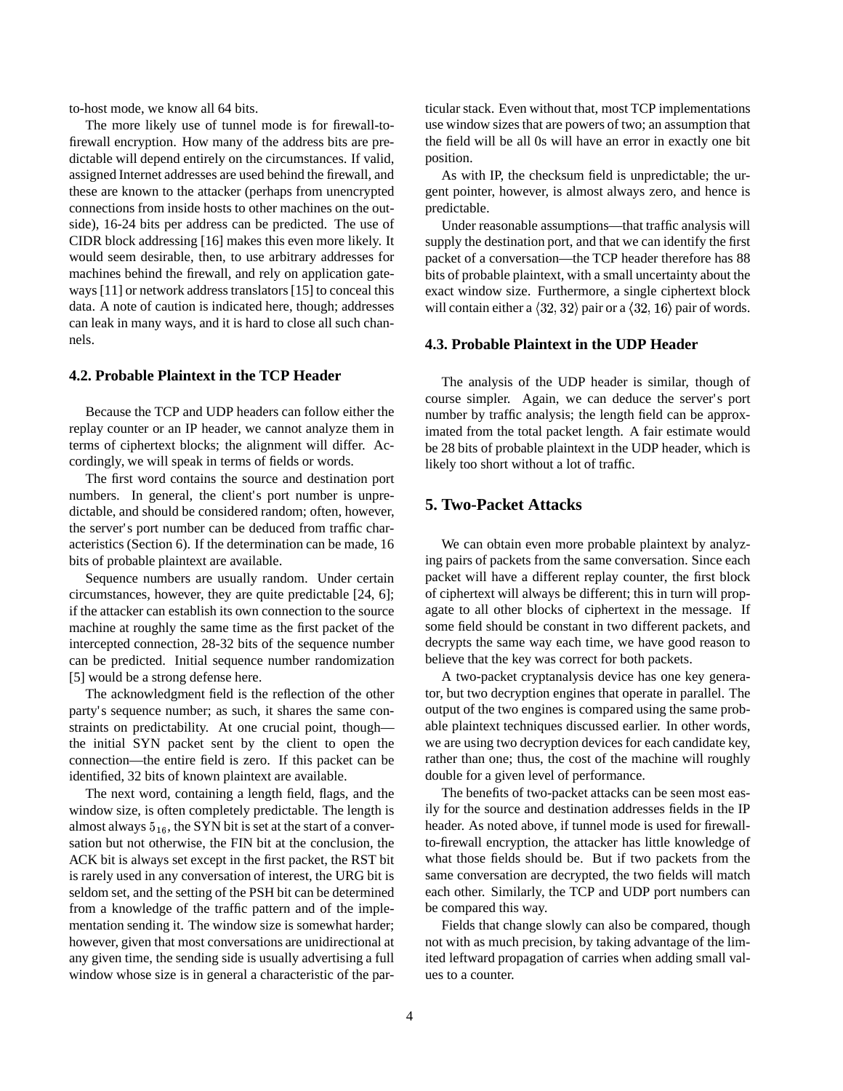to-host mode, we know all 64 bits.

The more likely use of tunnel mode is for firewall-tofirewall encryption. How many of the address bits are predictable will depend entirely on the circumstances. If valid, assigned Internet addresses are used behind the firewall, and these are known to the attacker (perhaps from unencrypted connections from inside hosts to other machines on the outside), 16-24 bits per address can be predicted. The use of CIDR block addressing [16] makes this even more likely. It would seem desirable, then, to use arbitrary addresses for machines behind the firewall, and rely on application gateways [11] or network address translators [15] to conceal this data. A note of caution is indicated here, though; addresses can leak in many ways, and it is hard to close all such channels.

## **4.2. Probable Plaintext in the TCP Header**

Because the TCP and UDP headers can follow either the replay counter or an IP header, we cannot analyze them in terms of ciphertext blocks; the alignment will differ. Accordingly, we will speak in terms of fields or words.

The first word contains the source and destination port numbers. In general, the client's port number is unpredictable, and should be considered random; often, however, the server's port number can be deduced from traffic characteristics (Section 6). If the determination can be made, 16 bits of probable plaintext are available.

Sequence numbers are usually random. Under certain circumstances, however, they are quite predictable [24, 6]; if the attacker can establish its own connection to the source machine at roughly the same time as the first packet of the intercepted connection, 28-32 bits of the sequence number can be predicted. Initial sequence number randomization [5] would be a strong defense here.

The acknowledgment field is the reflection of the other party's sequence number; as such, it shares the same constraints on predictability. At one crucial point, though the initial SYN packet sent by the client to open the connection—the entire field is zero. If this packet can be identified, 32 bits of known plaintext are available.

The next word, containing a length field, flags, and the window size, is often completely predictable. The length is almost always  $5_{16}$ , the SYN bit is set at the start of a conversation but not otherwise, the FIN bit at the conclusion, the ACK bit is always set except in the first packet, the RST bit is rarely used in any conversation of interest, the URG bit is seldom set, and the setting of the PSH bit can be determined from a knowledge of the traffic pattern and of the implementation sending it. The window size is somewhat harder; however, given that most conversations are unidirectional at any given time, the sending side is usually advertising a full window whose size is in general a characteristic of the par-

ticular stack. Even without that, most TCP implementations use window sizes that are powers of two; an assumption that the field will be all 0s will have an error in exactly one bit position.

As with IP, the checksum field is unpredictable; the urgent pointer, however, is almost always zero, and hence is predictable.

Under reasonable assumptions—that traffic analysis will supply the destination port, and that we can identify the first packet of a conversation—the TCP header therefore has 88 bits of probable plaintext, with a small uncertainty about the exact window size. Furthermore, a single ciphertext block will contain either a  $\langle 32, 32 \rangle$  pair or a  $\langle 32, 16 \rangle$  pair of words.

#### **4.3. Probable Plaintext in the UDP Header**

The analysis of the UDP header is similar, though of course simpler. Again, we can deduce the server's port number by traffic analysis; the length field can be approximated from the total packet length. A fair estimate would be 28 bits of probable plaintext in the UDP header, which is likely too short without a lot of traffic.

#### **5. Two-Packet Attacks**

We can obtain even more probable plaintext by analyzing pairs of packets from the same conversation. Since each packet will have a different replay counter, the first block of ciphertext will always be different; this in turn will propagate to all other blocks of ciphertext in the message. If some field should be constant in two different packets, and decrypts the same way each time, we have good reason to believe that the key was correct for both packets.

A two-packet cryptanalysis device has one key generator, but two decryption engines that operate in parallel. The output of the two engines is compared using the same probable plaintext techniques discussed earlier. In other words, we are using two decryption devices for each candidate key, rather than one; thus, the cost of the machine will roughly double for a given level of performance.

The benefits of two-packet attacks can be seen most easily for the source and destination addresses fields in the IP header. As noted above, if tunnel mode is used for firewallto-firewall encryption, the attacker has little knowledge of what those fields should be. But if two packets from the same conversation are decrypted, the two fields will match each other. Similarly, the TCP and UDP port numbers can be compared this way.

Fields that change slowly can also be compared, though not with as much precision, by taking advantage of the limited leftward propagation of carries when adding small values to a counter.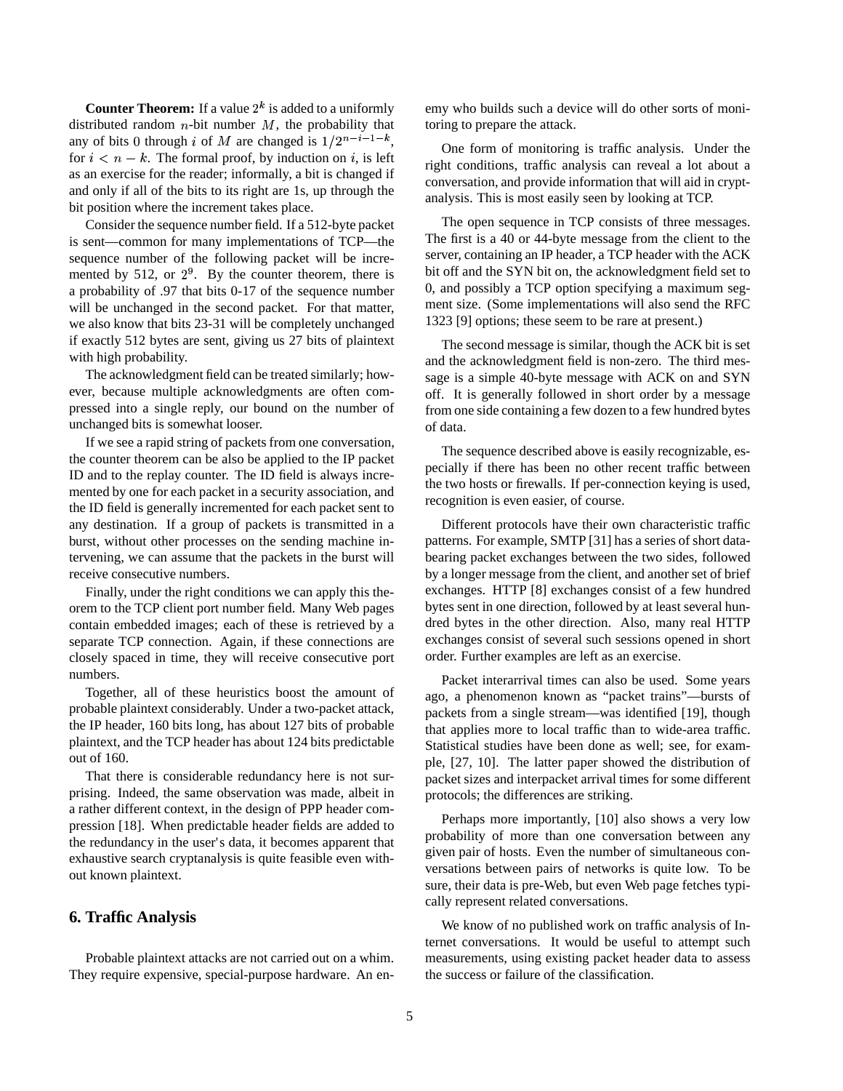**Counter Theorem:** If a value  $2^k$  is added to a uniformly distributed random  $n$ -bit number  $M$ , the probability that any of bits 0 through i of M are changed is  $1/2^{n-i-1-k}$ , for  $i < n - k$ . The formal proof, by induction on i, is left as an exercise for the reader; informally, a bit is changed if and only if all of the bits to its right are 1s, up through the bit position where the increment takes place.

Consider the sequence number field. If a 512-byte packet is sent—common for many implementations of TCP—the sequence number of the following packet will be incremented by 512, or  $2^9$ . By the counter theorem, there is a probability of .97 that bits 0-17 of the sequence number will be unchanged in the second packet. For that matter, we also know that bits 23-31 will be completely unchanged if exactly 512 bytes are sent, giving us 27 bits of plaintext with high probability.

The acknowledgment field can be treated similarly; however, because multiple acknowledgments are often compressed into a single reply, our bound on the number of unchanged bits is somewhat looser.

If we see a rapid string of packets from one conversation, the counter theorem can be also be applied to the IP packet ID and to the replay counter. The ID field is always incremented by one for each packetin a security association, and the ID field is generally incremented for each packet sent to any destination. If a group of packets is transmitted in a burst, without other processes on the sending machine intervening, we can assume that the packets in the burst will receive consecutive numbers.

Finally, under the right conditions we can apply this theorem to the TCP client port number field. Many Web pages contain embedded images; each of these is retrieved by a separate TCP connection. Again, if these connections are closely spaced in time, they will receive consecutive port numbers.

Together, all of these heuristics boost the amount of probable plaintext considerably. Under a two-packet attack, the IP header, 160 bits long, has about 127 bits of probable plaintext, and the TCP header has about 124 bits predictable out of 160.

That there is considerable redundancy here is not surprising. Indeed, the same observation was made, albeit in a rather different context, in the design of PPP header compression [18]. When predictable header fields are added to the redundancy in the user's data, it becomes apparent that exhaustive search cryptanalysis is quite feasible even without known plaintext.

## **6. Traffic Analysis**

Probable plaintext attacks are not carried out on a whim. They require expensive, special-purpose hardware. An en-

emy who builds such a device will do other sorts of monitoring to prepare the attack.

One form of monitoring is traffic analysis. Under the right conditions, traffic analysis can reveal a lot about a conversation, and provide information that will aid in cryptanalysis. This is most easily seen by looking at TCP.

The open sequence in TCP consists of three messages. The first is a 40 or 44-byte message from the client to the server, containing an IP header, a TCP header with the ACK bit off and the SYN bit on, the acknowledgment field set to 0, and possibly a TCP option specifying a maximum segment size. (Some implementations will also send the RFC 1323 [9] options; these seem to be rare at present.)

The second message is similar, though the ACK bit is set and the acknowledgment field is non-zero. The third message is a simple 40-byte message with ACK on and SYN off. It is generally followed in short order by a message from one side containing a few dozen to a few hundred bytes of data.

The sequence described above is easily recognizable, especially if there has been no other recent traffic between the two hosts or firewalls. If per-connection keying is used, recognition is even easier, of course.

Different protocols have their own characteristic traffic patterns. For example, SMTP [31] has a series of short databearing packet exchanges between the two sides, followed by a longer message from the client, and another set of brief exchanges. HTTP [8] exchanges consist of a few hundred bytes sent in one direction, followed by at least several hundred bytes in the other direction. Also, many real HTTP exchanges consist of several such sessions opened in short order. Further examples are left as an exercise.

Packet interarrival times can also be used. Some years ago, a phenomenon known as "packet trains"—bursts of packets from a single stream—was identified [19], though that applies more to local traffic than to wide-area traffic. Statistical studies have been done as well; see, for example, [27, 10]. The latter paper showed the distribution of packet sizes and interpacket arrival times for some different protocols; the differences are striking.

Perhaps more importantly, [10] also shows a very low probability of more than one conversation between any given pair of hosts. Even the number of simultaneous conversations between pairs of networks is quite low. To be sure, their data is pre-Web, but even Web page fetches typically represent related conversations.

We know of no published work on traffic analysis of Internet conversations. It would be useful to attempt such measurements, using existing packet header data to assess the success or failure of the classification.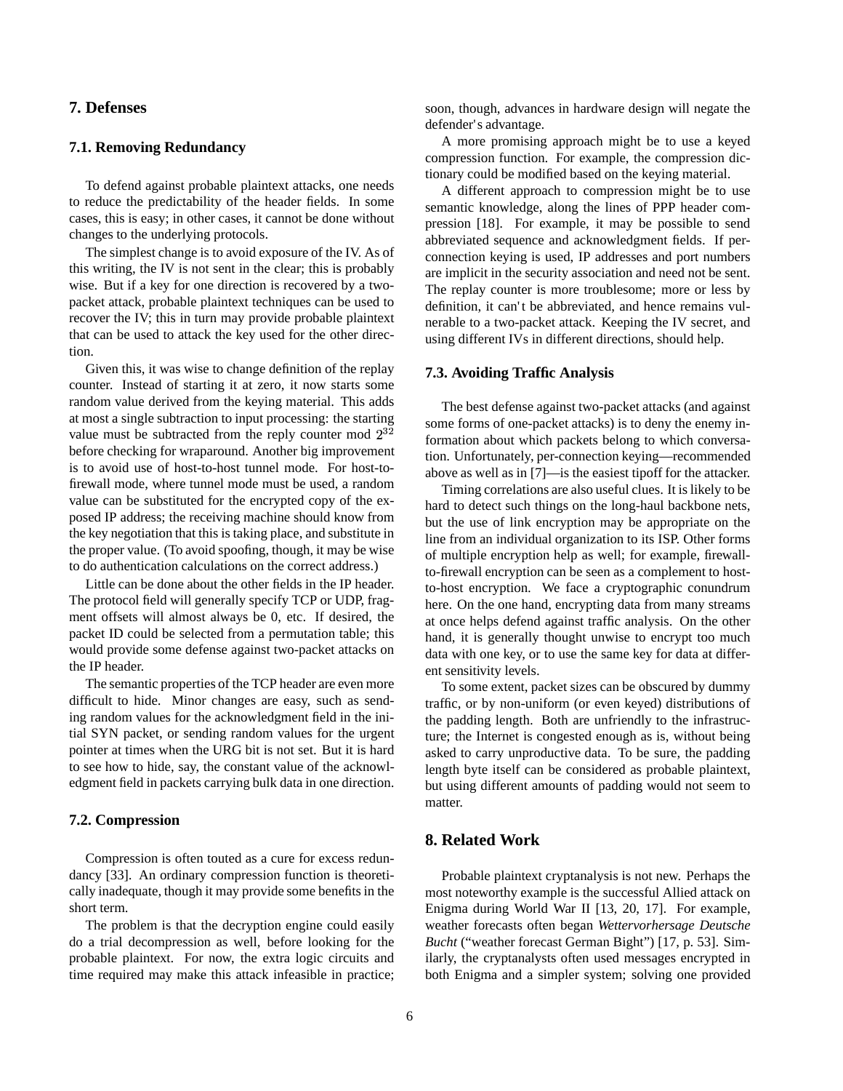## **7. Defenses**

#### **7.1. Removing Redundancy**

To defend against probable plaintext attacks, one needs to reduce the predictability of the header fields. In some cases, this is easy; in other cases, it cannot be done without changes to the underlying protocols.

The simplest change is to avoid exposure of the IV. As of this writing, the IV is not sent in the clear; this is probably wise. But if a key for one direction is recovered by a twopacket attack, probable plaintext techniques can be used to recover the IV; this in turn may provide probable plaintext that can be used to attack the key used for the other direction.

Given this, it was wise to change definition of the replay counter. Instead of starting it at zero, it now starts some random value derived from the keying material. This adds at most a single subtraction to input processing: the starting value must be subtracted from the reply counter mod  $2^{32}$ . before checking for wraparound. Another big improvement is to avoid use of host-to-host tunnel mode. For host-tofirewall mode, where tunnel mode must be used, a random value can be substituted for the encrypted copy of the exposed IP address; the receiving machine should know from the key negotiation that this is taking place, and substitute in the proper value. (To avoid spoofing, though, it may be wise to do authentication calculations on the correct address.)

Little can be done about the other fields in the IP header. The protocol field will generally specify TCP or UDP, fragment offsets will almost always be 0, etc. If desired, the packet ID could be selected from a permutation table; this would provide some defense against two-packet attacks on the IP header.

The semantic properties of the TCP header are even more difficult to hide. Minor changes are easy, such as sending random values for the acknowledgment field in the initial SYN packet, or sending random values for the urgent pointer at times when the URG bit is not set. But it is hard to see how to hide, say, the constant value of the acknowledgment field in packets carrying bulk data in one direction.

#### **7.2. Compression**

Compression is often touted as a cure for excess redundancy [33]. An ordinary compression function is theoretically inadequate, though it may provide some benefits in the short term.

The problem is that the decryption engine could easily do a trial decompression as well, before looking for the probable plaintext. For now, the extra logic circuits and time required may make this attack infeasible in practice; soon, though, advances in hardware design will negate the defender's advantage.

A more promising approach might be to use a keyed compression function. For example, the compression dictionary could be modified based on the keying material.

A different approach to compression might be to use semantic knowledge, along the lines of PPP header compression [18]. For example, it may be possible to send abbreviated sequence and acknowledgment fields. If perconnection keying is used, IP addresses and port numbers are implicit in the security association and need not be sent. The replay counter is more troublesome; more or less by definition, it can't be abbreviated, and hence remains vulnerable to a two-packet attack. Keeping the IV secret, and using different IVs in different directions, should help.

# **7.3. Avoiding Traffic Analysis**

The best defense against two-packet attacks (and against some forms of one-packet attacks) is to deny the enemy information about which packets belong to which conversation. Unfortunately, per-connection keying—recommended above as well as in [7]—is the easiest tipoff for the attacker.

Timing correlations are also useful clues. It is likely to be hard to detect such things on the long-haul backbone nets, but the use of link encryption may be appropriate on the line from an individual organization to its ISP. Other forms of multiple encryption help as well; for example, firewallto-firewall encryption can be seen as a complement to hostto-host encryption. We face a cryptographic conundrum here. On the one hand, encrypting data from many streams at once helps defend against traffic analysis. On the other hand, it is generally thought unwise to encrypt too much data with one key, or to use the same key for data at different sensitivity levels.

To some extent, packet sizes can be obscured by dummy traffic, or by non-uniform (or even keyed) distributions of the padding length. Both are unfriendly to the infrastructure; the Internet is congested enough as is, without being asked to carry unproductive data. To be sure, the padding length byte itself can be considered as probable plaintext, but using different amounts of padding would not seem to matter.

## **8. Related Work**

Probable plaintext cryptanalysis is not new. Perhaps the most noteworthy example is the successful Allied attack on Enigma during World War II [13, 20, 17]. For example, weather forecasts often began *Wettervorhersage Deutsche Bucht* ("weather forecast German Bight") [17, p. 53]. Similarly, the cryptanalysts often used messages encrypted in both Enigma and a simpler system; solving one provided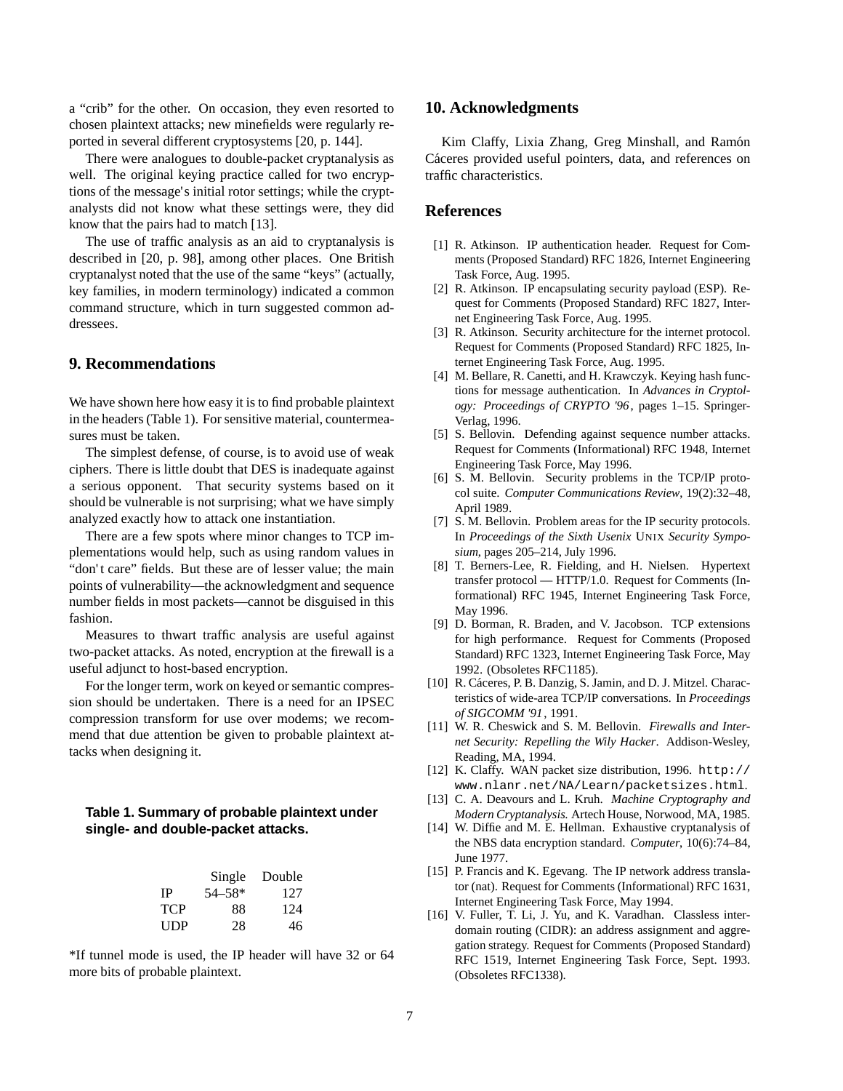a "crib" for the other. On occasion, they even resorted to chosen plaintext attacks; new minefields were regularly reported in several different cryptosystems [20, p. 144].

There were analogues to double-packet cryptanalysis as well. The original keying practice called for two encryptions of the message's initial rotor settings; while the cryptanalysts did not know what these settings were, they did know that the pairs had to match [13].

The use of traffic analysis as an aid to cryptanalysis is described in [20, p. 98], among other places. One British cryptanalyst noted that the use of the same "keys" (actually, key families, in modern terminology) indicated a common command structure, which in turn suggested common addressees.

# **9. Recommendations**

We have shown here how easy it is to find probable plaintext in the headers(Table 1). For sensitive material, countermeasures must be taken.

The simplest defense, of course, is to avoid use of weak ciphers. There is little doubt that DES is inadequate against a serious opponent. That security systems based on it should be vulnerable is not surprising; what we have simply analyzed exactly how to attack one instantiation.

There are a few spots where minor changes to TCP implementations would help, such as using random values in "don't care" fields. But these are of lesser value; the main points of vulnerability—the acknowledgment and sequence number fields in most packets—cannot be disguised in this fashion.

Measures to thwart traffic analysis are useful against two-packet attacks. As noted, encryption at the firewall is a useful adjunct to host-based encryption.

For the longer term, work on keyed or semantic compression should be undertaken. There is a need for an IPSEC compression transform for use over modems; we recommend that due attention be given to probable plaintext attacks when designing it.

## **Table 1. Summary of probable plaintext under single- and double-packet attacks.**

|     | Single     | Double |
|-----|------------|--------|
| IΡ  | $54 - 58*$ | 127    |
| TCP | 88         | 124    |
| UDP | 28         | 46     |

\*If tunnel mode is used, the IP header will have 32 or 64 more bits of probable plaintext.

## **10. Acknowledgments**

Kim Claffy, Lixia Zhang, Greg Minshall, and Ramón Cáceres provided useful pointers, data, and references on traffic characteristics.

## **References**

- [1] R. Atkinson. IP authentication header. Request for Comments (Proposed Standard) RFC 1826, Internet Engineering Task Force, Aug. 1995.
- [2] R. Atkinson. IP encapsulating security payload (ESP). Request for Comments (Proposed Standard) RFC 1827, Internet Engineering Task Force, Aug. 1995.
- [3] R. Atkinson. Security architecture for the internet protocol. Request for Comments (Proposed Standard) RFC 1825, Internet Engineering Task Force, Aug. 1995.
- [4] M. Bellare, R. Canetti, and H. Krawczyk. Keying hash functions for message authentication. In *Advances in Cryptology: Proceedings of CRYPTO '96*, pages 1–15. Springer-Verlag, 1996.
- [5] S. Bellovin. Defending against sequence number attacks. Request for Comments (Informational) RFC 1948, Internet Engineering Task Force, May 1996.
- [6] S. M. Bellovin. Security problems in the TCP/IP protocol suite. *Computer Communications Review*, 19(2):32–48, April 1989.
- [7] S. M. Bellovin. Problem areas for the IP security protocols. In *Proceedings of the Sixth Usenix* UNIX *Security Symposium*, pages 205–214, July 1996.
- [8] T. Berners-Lee, R. Fielding, and H. Nielsen. Hypertext transfer protocol — HTTP/1.0. Request for Comments (Informational) RFC 1945, Internet Engineering Task Force, May 1996.
- [9] D. Borman, R. Braden, and V. Jacobson. TCP extensions for high performance. Request for Comments (Proposed Standard) RFC 1323, Internet Engineering Task Force, May 1992. (Obsoletes RFC1185).
- [10] R. Cáceres, P. B. Danzig, S. Jamin, and D. J. Mitzel. Characteristics of wide-area TCP/IP conversations. In *Proceedings of SIGCOMM '91*, 1991.
- [11] W. R. Cheswick and S. M. Bellovin. *Firewalls and Internet Security: Repelling the Wily Hacker*. Addison-Wesley, Reading, MA, 1994.
- [12] K. Claffy. WAN packet size distribution, 1996. http:// www.nlanr.net/NA/Learn/packetsizes.html.
- [13] C. A. Deavours and L. Kruh. *Machine Cryptography and Modern Cryptanalysis*. Artech House, Norwood, MA, 1985.
- [14] W. Diffie and M. E. Hellman. Exhaustive cryptanalysis of the NBS data encryption standard. *Computer*, 10(6):74–84, June 1977.
- [15] P. Francis and K. Egevang. The IP network address translator (nat). Request for Comments (Informational) RFC 1631, Internet Engineering Task Force, May 1994.
- [16] V. Fuller, T. Li, J. Yu, and K. Varadhan. Classless interdomain routing (CIDR): an address assignment and aggregation strategy. Request for Comments (Proposed Standard) RFC 1519, Internet Engineering Task Force, Sept. 1993. (Obsoletes RFC1338).